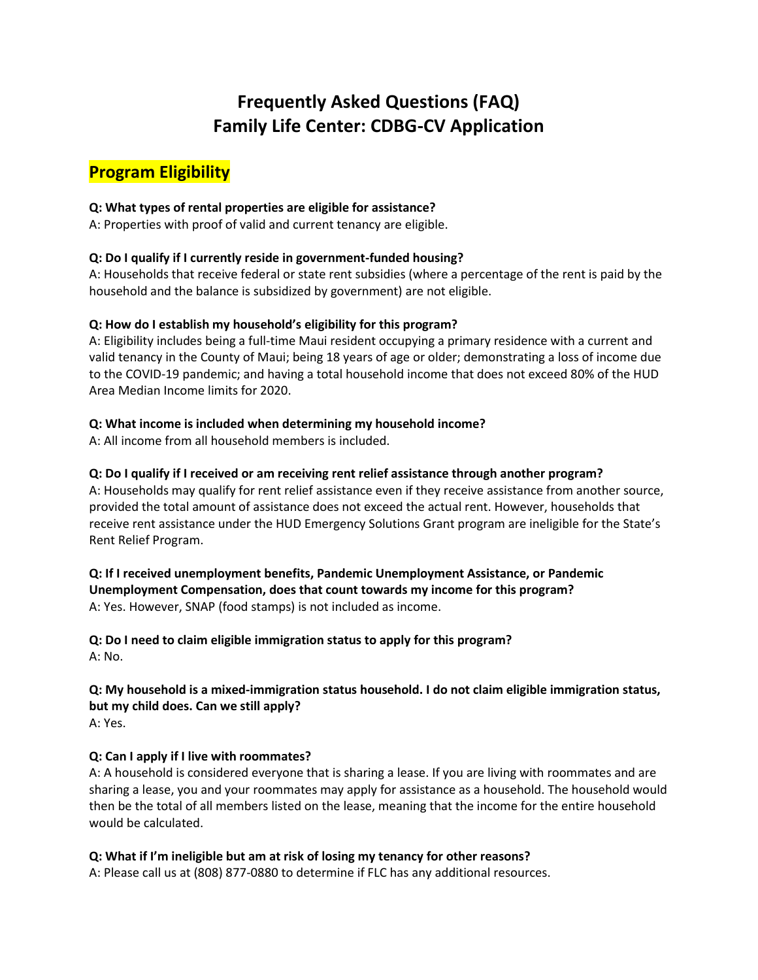# **Frequently Asked Questions (FAQ) Family Life Center: CDBG-CV Application**

# **Program Eligibility**

### **Q: What types of rental properties are eligible for assistance?**

A: Properties with proof of valid and current tenancy are eligible.

# **Q: Do I qualify if I currently reside in government-funded housing?**

A: Households that receive federal or state rent subsidies (where a percentage of the rent is paid by the household and the balance is subsidized by government) are not eligible.

#### **Q: How do I establish my household's eligibility for this program?**

A: Eligibility includes being a full-time Maui resident occupying a primary residence with a current and valid tenancy in the County of Maui; being 18 years of age or older; demonstrating a loss of income due to the COVID-19 pandemic; and having a total household income that does not exceed 80% of the HUD Area Median Income limits for 2020.

#### **Q: What income is included when determining my household income?**

A: All income from all household members is included.

# **Q: Do I qualify if I received or am receiving rent relief assistance through another program?**

A: Households may qualify for rent relief assistance even if they receive assistance from another source, provided the total amount of assistance does not exceed the actual rent. However, households that receive rent assistance under the HUD Emergency Solutions Grant program are ineligible for the State's Rent Relief Program.

**Q: If I received unemployment benefits, Pandemic Unemployment Assistance, or Pandemic Unemployment Compensation, does that count towards my income for this program?** A: Yes. However, SNAP (food stamps) is not included as income.

**Q: Do I need to claim eligible immigration status to apply for this program?** A: No.

# **Q: My household is a mixed-immigration status household. I do not claim eligible immigration status, but my child does. Can we still apply?**

A: Yes.

# **Q: Can I apply if I live with roommates?**

A: A household is considered everyone that is sharing a lease. If you are living with roommates and are sharing a lease, you and your roommates may apply for assistance as a household. The household would then be the total of all members listed on the lease, meaning that the income for the entire household would be calculated.

# **Q: What if I'm ineligible but am at risk of losing my tenancy for other reasons?**

A: Please call us at (808) 877-0880 to determine if FLC has any additional resources.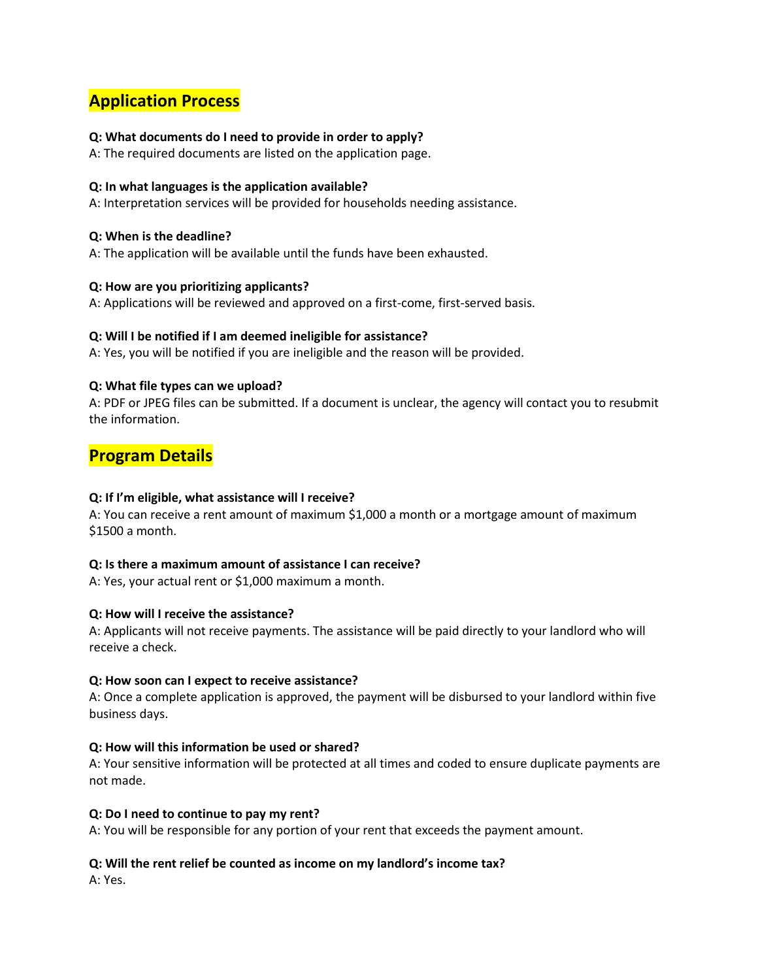# **Application Process**

#### **Q: What documents do I need to provide in order to apply?**

A: The required documents are listed on the application page.

#### **Q: In what languages is the application available?**

A: Interpretation services will be provided for households needing assistance.

#### **Q: When is the deadline?**

A: The application will be available until the funds have been exhausted.

#### **Q: How are you prioritizing applicants?**

A: Applications will be reviewed and approved on a first-come, first-served basis.

#### **Q: Will I be notified if I am deemed ineligible for assistance?**

A: Yes, you will be notified if you are ineligible and the reason will be provided.

#### **Q: What file types can we upload?**

A: PDF or JPEG files can be submitted. If a document is unclear, the agency will contact you to resubmit the information.

# **Program Details**

#### **Q: If I'm eligible, what assistance will I receive?**

A: You can receive a rent amount of maximum \$1,000 a month or a mortgage amount of maximum \$1500 a month.

#### **Q: Is there a maximum amount of assistance I can receive?**

A: Yes, your actual rent or \$1,000 maximum a month.

#### **Q: How will I receive the assistance?**

A: Applicants will not receive payments. The assistance will be paid directly to your landlord who will receive a check.

#### **Q: How soon can I expect to receive assistance?**

A: Once a complete application is approved, the payment will be disbursed to your landlord within five business days.

#### **Q: How will this information be used or shared?**

A: Your sensitive information will be protected at all times and coded to ensure duplicate payments are not made.

#### **Q: Do I need to continue to pay my rent?**

A: You will be responsible for any portion of your rent that exceeds the payment amount.

#### **Q: Will the rent relief be counted as income on my landlord's income tax?**

A: Yes.